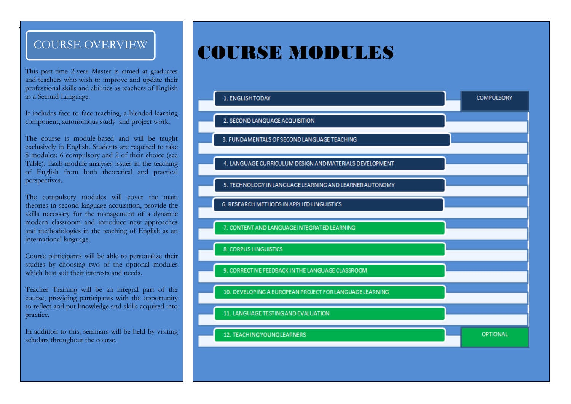A

This part-time 2-year Master is aimed at graduates and teachers who wish to improve and update their professional skills and abilities as teachers of English as a Second Language.

It includes face to face teaching, a blended learning component, autonomous study and project work.

The course is module-based and will be taught exclusively in English. Students are required to take 8 modules: 6 compulsory and 2 of their choice (see Table). Each module analyses issues in the teaching of English from both theoretical and practical perspectives.

The compulsory modules will cover the main theories in second language acquisition, provide the skills necessary for the management of a dynamic modern classroom and introduce new approaches and methodologies in the teaching of English as an international language.

Course participants will be able to personalize their studies by choosing two of the optional modules which best suit their interests and needs.

Teacher Training will be an integral part of the course, providing participants with the opportunity to reflect and put knowledge and skills acquired into practice.

In addition to this, seminars will be held by visiting scholars throughout the course.

# COURSE OVERVIEW **COURSE MODULES**